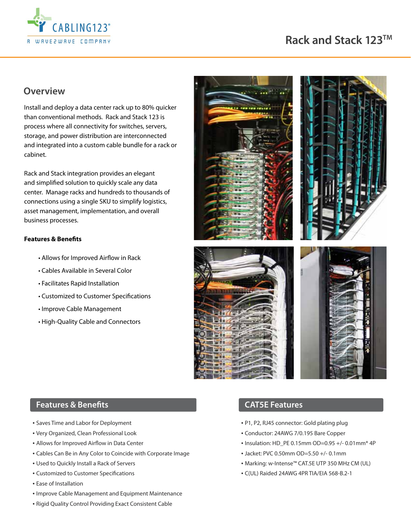

## **Overview**

Install and deploy a data center rack up to 80% quicker than conventional methods. Rack and Stack 123 is process where all connectivity for switches, servers, storage, and power distribution are interconnected and integrated into a custom cable bundle for a rack or cabinet.

Rack and Stack integration provides an elegant and simplified solution to quickly scale any data center. Manage racks and hundreds to thousands of connections using a single SKU to simplify logistics, asset management, implementation, and overall business processes.

#### **Features & Benefits**

- Allows for Improved Airflow in Rack
- Cables Available in Several Color
- Facilitates Rapid Installation
- Customized to Customer Specifications
- Improve Cable Management
- High-Quality Cable and Connectors



#### **Features & Benefits**

- Saves Time and Labor for Deployment
- Very Organized, Clean Professional Look
- Allows for Improved Airflow in Data Center
- Cables Can Be in Any Color to Coincide with Corporate Image
- Used to Quickly Install a Rack of Servers
- Customized to Customer Specifications
- Ease of Installation
- Improve Cable Management and Equipment Maintenance

#### • Rigid Quality Control Providing Exact Consistent Cable

## **CAT5E Features**

- P1, P2, RJ45 connector: Gold plating plug
- Conductor: 24AWG 7/0.195 Bare Copper
- Insulation: HD\_PE 0.15mm OD=0.95 +/- 0.01mm\* 4P
- Jacket: PVC 0.50mm OD=5.50 +/- 0.1mm
- Marking: w-Intense™ CAT.5E UTP 350 MHz CM (UL)
- C(UL) Raided 24AWG 4PR TIA/EIA 568-B.2-1